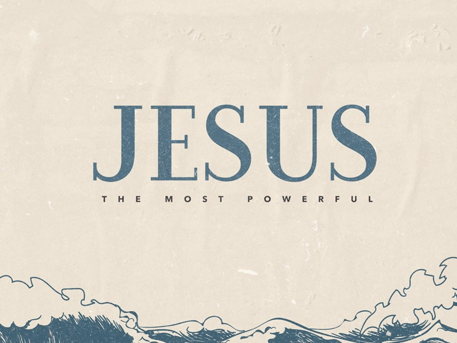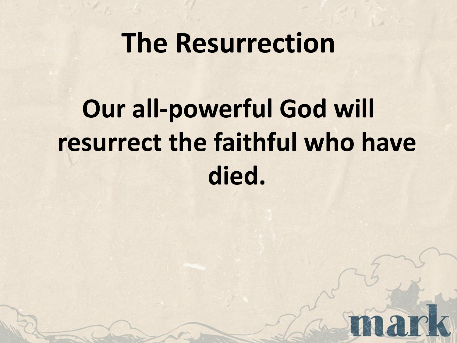#### **The Resurrection**

# **Our all-powerful God will resurrect the faithful who have died.**

nar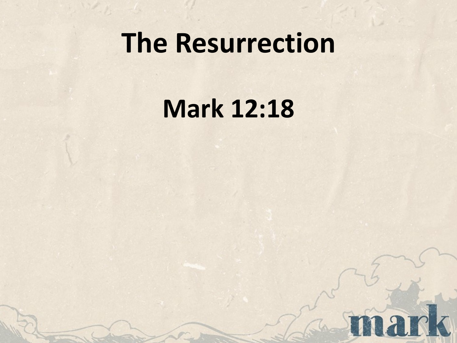## **The Resurrection**

## **Mark 12:18**

nark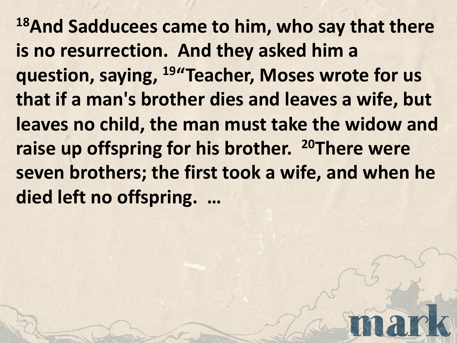**18And Sadducees came to him, who say that there is no resurrection. And they asked him a question, saying, 19"Teacher, Moses wrote for us that if a man's brother dies and leaves a wife, but leaves no child, the man must take the widow and raise up offspring for his brother. 20There were seven brothers; the first took a wife, and when he died left no offspring. …**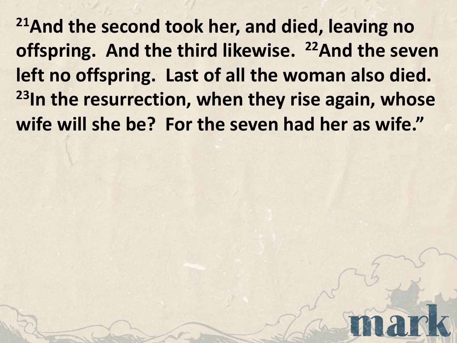**21And the second took her, and died, leaving no**  offspring. And the third likewise. <sup>22</sup>And the seven **left no offspring. Last of all the woman also died. 23In the resurrection, when they rise again, whose wife will she be? For the seven had her as wife."**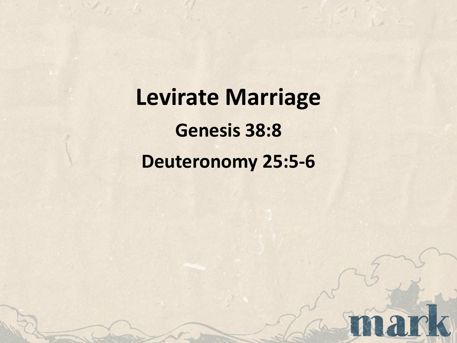**Levirate Marriage Genesis 38:8 Deuteronomy 25:5-6**

nark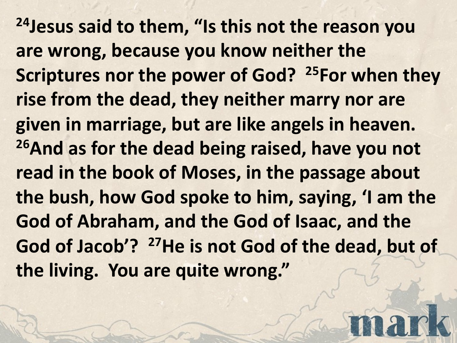**24Jesus said to them, "Is this not the reason you are wrong, because you know neither the Scriptures nor the power of God? 25For when they rise from the dead, they neither marry nor are given in marriage, but are like angels in heaven. 26And as for the dead being raised, have you not read in the book of Moses, in the passage about the bush, how God spoke to him, saying, 'I am the God of Abraham, and the God of Isaac, and the God of Jacob'? 27He is not God of the dead, but of the living. You are quite wrong."**